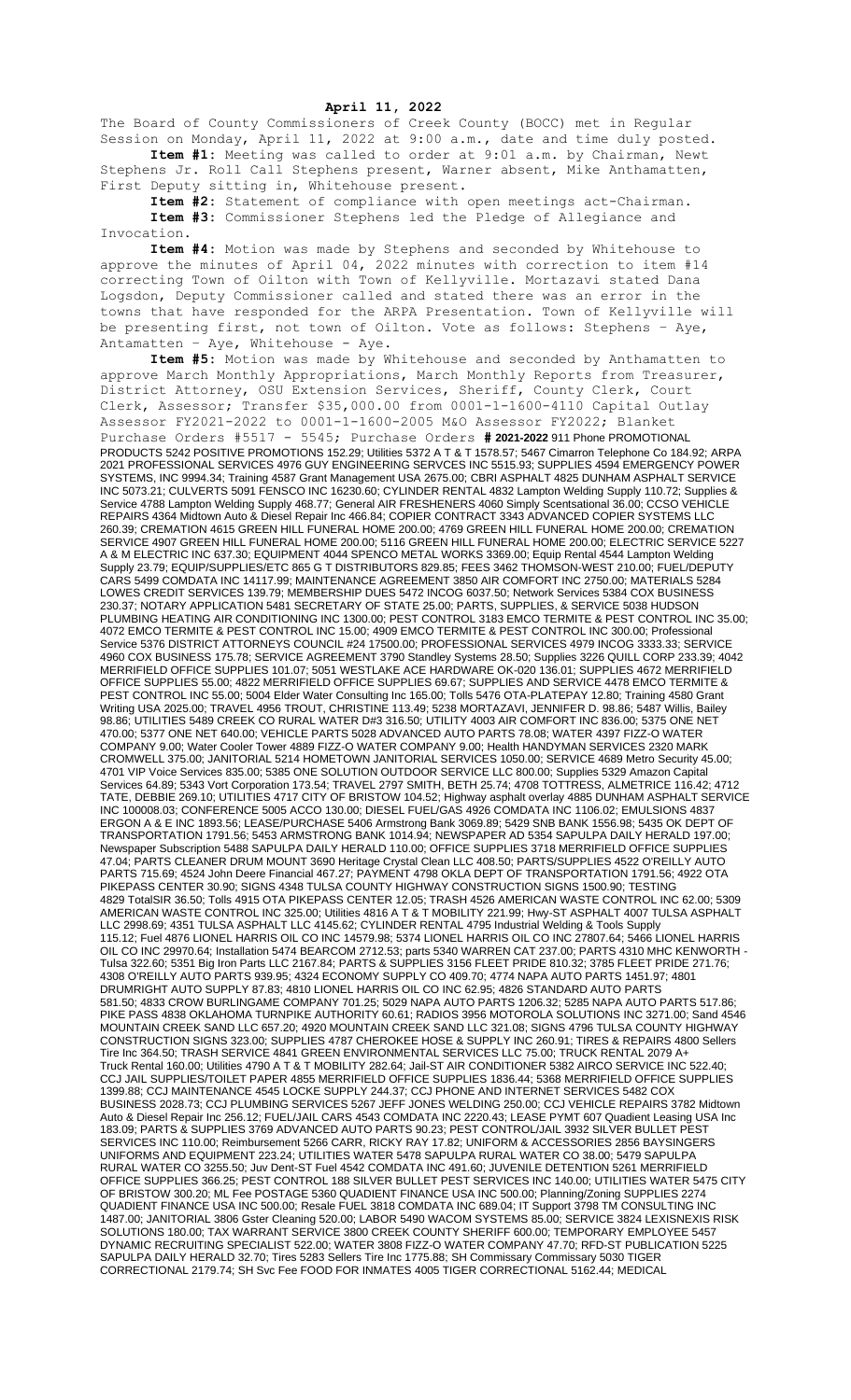## **April 11, 2022**

The Board of County Commissioners of Creek County (BOCC) met in Regular Session on Monday, April 11, 2022 at 9:00 a.m., date and time duly posted. **Item #1:** Meeting was called to order at 9:01 a.m. by Chairman, Newt Stephens Jr. Roll Call Stephens present, Warner absent, Mike Anthamatten,

First Deputy sitting in, Whitehouse present. **Item #2:** Statement of compliance with open meetings act-Chairman. **Item #3:** Commissioner Stephens led the Pledge of Allegiance and

Invocation. **Item #4:** Motion was made by Stephens and seconded by Whitehouse to approve the minutes of April 04, 2022 minutes with correction to item #14 correcting Town of Oilton with Town of Kellyville. Mortazavi stated Dana Logsdon, Deputy Commissioner called and stated there was an error in the towns that have responded for the ARPA Presentation. Town of Kellyville will be presenting first, not town of Oilton. Vote as follows: Stephens – Aye, Antamatten - Aye, Whitehouse - Aye.

**Item #5:** Motion was made by Whitehouse and seconded by Anthamatten to approve March Monthly Appropriations, March Monthly Reports from Treasurer, District Attorney, OSU Extension Services, Sheriff, County Clerk, Court Clerk, Assessor; Transfer \$35,000.00 from 0001-1-1600-4110 Capital Outlay Assessor FY2021-2022 to 0001-1-1600-2005 M&O Assessor FY2022; Blanket Purchase Orders #5517 - 5545; Purchase Orders **# 2021-2022** 911 Phone PROMOTIONAL PRODUCTS 5242 POSITIVE PROMOTIONS 152.29; Utilities 5372 A T & T 1578.57; 5467 Cimarron Telephone Co 184.92; ARPA 2021 PROFESSIONAL SERVICES 4976 GUY ENGINEERING SERVCES INC 5515.93; SUPPLIES 4594 EMERGENCY POWER SYSTEMS, INC 9994.34; Training 4587 Grant Management USA 2675.00; CBRI ASPHALT 4825 DUNHAM ASPHALT SERVICE INC 5073.21; CULVERTS 5091 FENSCO INC 16230.60; CYLINDER RENTAL 4832 Lampton Welding Supply 110.72; Supplies & Service 4788 Lampton Welding Supply 468.77; General AIR FRESHENERS 4060 Simply Scentsational 36.00; CCSO VEHICLE REPAIRS 4364 Midtown Auto & Diesel Repair Inc 466.84; COPIER CONTRACT 3343 ADVANCED COPIER SYSTEMS LLC 260.39; CREMATION 4615 GREEN HILL FUNERAL HOME 200.00; 4769 GREEN HILL FUNERAL HOME 200.00; CREMATION SERVICE 4907 GREEN HILL FUNERAL HOME 200.00; 5116 GREEN HILL FUNERAL HOME 200.00; ELECTRIC SERVICE 5227 A & M ELECTRIC INC 637.30; EQUIPMENT 4044 SPENCO METAL WORKS 3369.00; Equip Rental 4544 Lampton Welding Supply 23.79; EQUIP/SUPPLIES/ETC 865 G T DISTRIBUTORS 829.85; FEES 3462 THOMSON-WEST 210.00; FUEL/DEPUTY CARS 5499 COMDATA INC 14117.99; MAINTENANCE AGREEMENT 3850 AIR COMFORT INC 2750.00; MATERIALS 5284 LOWES CREDIT SERVICES 139.79; MEMBERSHIP DUES 5472 INCOG 6037.50; Network Services 5384 COX BUSINESS 230.37; NOTARY APPLICATION 5481 SECRETARY OF STATE 25.00; PARTS, SUPPLIES, & SERVICE 5038 HUDSON PLUMBING HEATING AIR CONDITIONING INC 1300.00; PEST CONTROL 3183 EMCO TERMITE & PEST CONTROL INC 35.00; 4072 EMCO TERMITE & PEST CONTROL INC 15.00; 4909 EMCO TERMITE & PEST CONTROL INC 300.00; Professional Service 5376 DISTRICT ATTORNEYS COUNCIL #24 17500.00; PROFESSIONAL SERVICES 4979 INCOG 3333.33; SERVICE 4960 COX BUSINESS 175.78; SERVICE AGREEMENT 3790 Standley Systems 28.50; Supplies 3226 QUILL CORP 233.39; 4042 MERRIFIELD OFFICE SUPPLIES 101.07; 5051 WESTLAKE ACE HARDWARE OK-020 136.01; SUPPLIES 4672 MERRIFIELD OFFICE SUPPLIES 55.00; 4822 MERRIFIELD OFFICE SUPPLIES 69.67; SUPPLIES AND SERVICE 4478 EMCO TERMITE & PEST CONTROL INC 55.00; 5004 Elder Water Consulting Inc 165.00; Tolls 5476 OTA-PLATEPAY 12.80; Training 4580 Grant Writing USA 2025.00; TRAVEL 4956 TROUT, CHRISTINE 113.49; 5238 MORTAZAVI, JENNIFER D. 98.86; 5487 Willis, Bailey 98.86; UTILITIES 5489 CREEK CO RURAL WATER D#3 316.50; UTILITY 4003 AIR COMFORT INC 836.00; 5375 ONE NET 470.00; 5377 ONE NET 640.00; VEHICLE PARTS 5028 ADVANCED AUTO PARTS 78.08; WATER 4397 FIZZ-O WATER COMPANY 9.00; Water Cooler Tower 4889 FIZZ-O WATER COMPANY 9.00; Health HANDYMAN SERVICES 2320 MARK CROMWELL 375.00; JANITORIAL 5214 HOMETOWN JANITORIAL SERVICES 1050.00; SERVICE 4689 Metro Security 45.00; 4701 VIP Voice Services 835.00; 5385 ONE SOLUTION OUTDOOR SERVICE LLC 800.00; Supplies 5329 Amazon Capital Services 64.89; 5343 Vort Corporation 173.54; TRAVEL 2797 SMITH, BETH 25.74; 4708 TOTTRESS, ALMETRICE 116.42; 4712 TATE, DEBBIE 269.10; UTILITIES 4717 CITY OF BRISTOW 104.52; Highway asphalt overlay 4885 DUNHAM ASPHALT SERVICE INC 100008.03; CONFERENCE 5005 ACCO 130.00; DIESEL FUEL/GAS 4926 COMDATA INC 1106.02; EMULSIONS 4837 ERGON A & E INC 1893.56; LEASE/PURCHASE 5406 Armstrong Bank 3069.89; 5429 SNB BANK 1556.98; 5435 OK DEPT OF TRANSPORTATION 1791.56; 5453 ARMSTRONG BANK 1014.94; NEWSPAPER AD 5354 SAPULPA DAILY HERALD 197.00; Newspaper Subscription 5488 SAPULPA DAILY HERALD 110.00; OFFICE SUPPLIES 3718 MERRIFIELD OFFICE SUPPLIES 47.04; PARTS CLEANER DRUM MOUNT 3690 Heritage Crystal Clean LLC 408.50; PARTS/SUPPLIES 4522 O'REILLY AUTO PARTS 715.69; 4524 John Deere Financial 467.27; PAYMENT 4798 OKLA DEPT OF TRANSPORTATION 1791.56; 4922 OTA PIKEPASS CENTER 30.90; SIGNS 4348 TULSA COUNTY HIGHWAY CONSTRUCTION SIGNS 1500.90; TESTING 4829 TotalSIR 36.50; Tolls 4915 OTA PIKEPASS CENTER 12.05; TRASH 4526 AMERICAN WASTE CONTROL INC 62.00; 5309 AMERICAN WASTE CONTROL INC 325.00; Utilities 4816 A T & T MOBILITY 221.99; Hwy-ST ASPHALT 4007 TULSA ASPHALT LLC 2998.69; 4351 TULSA ASPHALT LLC 4145.62; CYLINDER RENTAL 4795 Industrial Welding & Tools Supply 115.12; Fuel 4876 LIONEL HARRIS OIL CO INC 14579.98; 5374 LIONEL HARRIS OIL CO INC 27807.64; 5466 LIONEL HARRIS OIL CO INC 29970.64; Installation 5474 BEARCOM 2712.53; parts 5340 WARREN CAT 237.00; PARTS 4310 MHC KENWORTH - Tulsa 322.60; 5351 Big Iron Parts LLC 2167.84; PARTS & SUPPLIES 3156 FLEET PRIDE 810.32; 3785 FLEET PRIDE 271.76; 4308 O'REILLY AUTO PARTS 939.95; 4324 ECONOMY SUPPLY CO 409.70; 4774 NAPA AUTO PARTS 1451.97; 4801 DRUMRIGHT AUTO SUPPLY 87.83; 4810 LIONEL HARRIS OIL CO INC 62.95; 4826 STANDARD AUTO PARTS 581.50; 4833 CROW BURLINGAME COMPANY 701.25; 5029 NAPA AUTO PARTS 1206.32; 5285 NAPA AUTO PARTS 517.86; PIKE PASS 4838 OKLAHOMA TURNPIKE AUTHORITY 60.61; RADIOS 3956 MOTOROLA SOLUTIONS INC 3271.00; Sand 4546 MOUNTAIN CREEK SAND LLC 657.20; 4920 MOUNTAIN CREEK SAND LLC 321.08; SIGNS 4796 TULSA COUNTY HIGHWAY CONSTRUCTION SIGNS 323.00; SUPPLIES 4787 CHEROKEE HOSE & SUPPLY INC 260.91; TIRES & REPAIRS 4800 Sellers Tire Inc 364.50; TRASH SERVICE 4841 GREEN ENVIRONMENTAL SERVICES LLC 75.00; TRUCK RENTAL 2079 A+ Truck Rental 160.00; Utilities 4790 A T & T MOBILITY 282.64; Jail-ST AIR CONDITIONER 5382 AIRCO SERVICE INC 522.40; CCJ JAIL SUPPLIES/TOILET PAPER 4855 MERRIFIELD OFFICE SUPPLIES 1836.44; 5368 MERRIFIELD OFFICE SUPPLIES 1399.88; CCJ MAINTENANCE 4545 LOCKE SUPPLY 244.37; CCJ PHONE AND INTERNET SERVICES 5482 COX BUSINESS 2028.73; CCJ PLUMBING SERVICES 5267 JEFF JONES WELDING 250.00; CCJ VEHICLE REPAIRS 3782 Midtown Auto & Diesel Repair Inc 256.12; FUEL/JAIL CARS 4543 COMDATA INC 2220.43; LEASE PYMT 607 Quadient Leasing USA Inc 183.09; PARTS & SUPPLIES 3769 ADVANCED AUTO PARTS 90.23; PEST CONTROL/JAIL 3932 SILVER BULLET PEST SERVICES INC 110.00; Reimbursement 5266 CARR, RICKY RAY 17.82; UNIFORM & ACCESSORIES 2856 BAYSINGERS UNIFORMS AND EQUIPMENT 223.24; UTILITIES WATER 5478 SAPULPA RURAL WATER CO 38.00; 5479 SAPULPA RURAL WATER CO 3255.50; Juv Dent-ST Fuel 4542 COMDATA INC 491.60; JUVENILE DETENTION 5261 MERRIFIELD OFFICE SUPPLIES 366.25; PEST CONTROL 188 SILVER BULLET PEST SERVICES INC 140.00; UTILITIES WATER 5475 CITY OF BRISTOW 300.20; ML Fee POSTAGE 5360 QUADIENT FINANCE USA INC 500.00; Planning/Zoning SUPPLIES 2274 QUADIENT FINANCE USA INC 500.00; Resale FUEL 3818 COMDATA INC 689.04; IT Support 3798 TM CONSULTING INC 1487.00; JANITORIAL 3806 Gster Cleaning 520.00; LABOR 5490 WACOM SYSTEMS 85.00; SERVICE 3824 LEXISNEXIS RISK SOLUTIONS 180.00; TAX WARRANT SERVICE 3800 CREEK COUNTY SHERIFF 600.00; TEMPORARY EMPLOYEE 5457 DYNAMIC RECRUITING SPECIALIST 522.00; WATER 3808 FIZZ-O WATER COMPANY 47.70; RFD-ST PUBLICATION 5225 SAPULPA DAILY HERALD 32.70; Tires 5283 Sellers Tire Inc 1775.88; SH Commissary Commissary 5030 TIGER CORRECTIONAL 2179.74; SH Svc Fee FOOD FOR INMATES 4005 TIGER CORRECTIONAL 5162.44; MEDICAL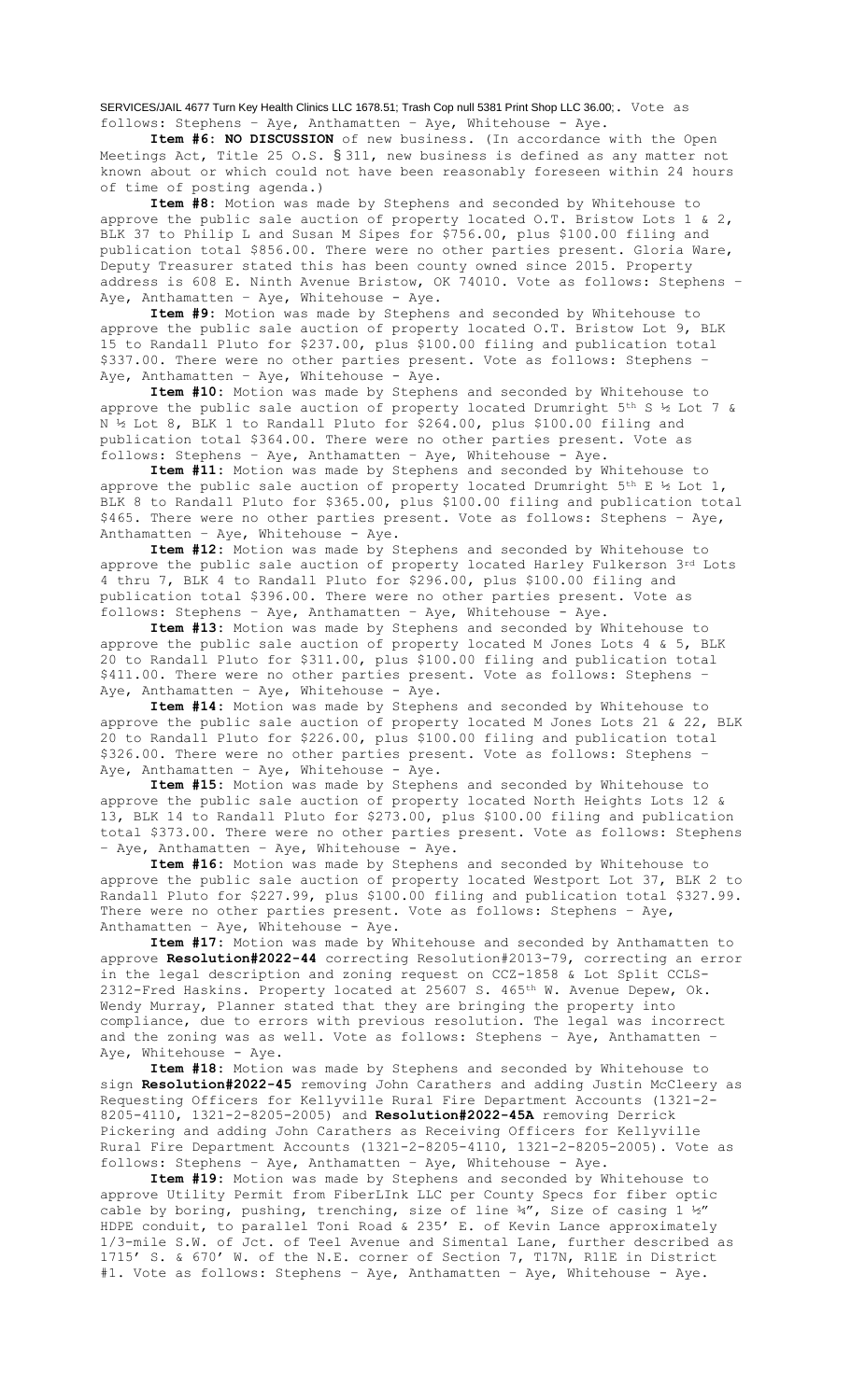SERVICES/JAIL 4677 Turn Key Health Clinics LLC 1678.51; Trash Cop null 5381 Print Shop LLC 36.00;. Vote as follows: Stephens – Aye, Anthamatten – Aye, Whitehouse - Aye.

**Item #6: NO DISCUSSION** of new business. (In accordance with the Open Meetings Act, Title 25 O.S. § 311, new business is defined as any matter not known about or which could not have been reasonably foreseen within 24 hours of time of posting agenda.)

**Item #8:** Motion was made by Stephens and seconded by Whitehouse to approve the public sale auction of property located  $0.\text{T}$ . Bristow Lots 1 & 2, BLK 37 to Philip L and Susan M Sipes for \$756.00, plus \$100.00 filing and publication total \$856.00. There were no other parties present. Gloria Ware, Deputy Treasurer stated this has been county owned since 2015. Property address is 608 E. Ninth Avenue Bristow, OK 74010. Vote as follows: Stephens – Aye, Anthamatten - Aye, Whitehouse - Aye.

**Item #9:** Motion was made by Stephens and seconded by Whitehouse to approve the public sale auction of property located O.T. Bristow Lot 9, BLK 15 to Randall Pluto for \$237.00, plus \$100.00 filing and publication total \$337.00. There were no other parties present. Vote as follows: Stephens – Aye, Anthamatten - Aye, Whitehouse - Aye.

**Item #10:** Motion was made by Stephens and seconded by Whitehouse to approve the public sale auction of property located Drumright  $5<sup>th</sup>$  S ½ Lot 7 & N ½ Lot 8, BLK 1 to Randall Pluto for \$264.00, plus \$100.00 filing and publication total \$364.00. There were no other parties present. Vote as .<br>follows: Stephens - Aye, Anthamatten - Aye, Whitehouse - Aye.

**Item #11:** Motion was made by Stephens and seconded by Whitehouse to approve the public sale auction of property located Drumright  $5^{th}$  E  $\frac{1}{2}$  Lot 1, BLK 8 to Randall Pluto for \$365.00, plus \$100.00 filing and publication total \$465. There were no other parties present. Vote as follows: Stephens - Aye, Anthamatten – Aye, Whitehouse - Aye.

**Item #12:** Motion was made by Stephens and seconded by Whitehouse to approve the public sale auction of property located Harley Fulkerson 3rd Lots 4 thru 7, BLK 4 to Randall Pluto for \$296.00, plus \$100.00 filing and publication total \$396.00. There were no other parties present. Vote as follows: Stephens – Aye, Anthamatten – Aye, Whitehouse - Aye.

**Item #13:** Motion was made by Stephens and seconded by Whitehouse to approve the public sale auction of property located M Jones Lots 4 & 5, BLK 20 to Randall Pluto for \$311.00, plus \$100.00 filing and publication total \$411.00. There were no other parties present. Vote as follows: Stephens -Aye, Anthamatten - Aye, Whitehouse - Aye.

**Item #14:** Motion was made by Stephens and seconded by Whitehouse to approve the public sale auction of property located M Jones Lots 21 & 22, BLK 20 to Randall Pluto for \$226.00, plus \$100.00 filing and publication total \$326.00. There were no other parties present. Vote as follows: Stephens – Aye, Anthamatten - Aye, Whitehouse - Aye.

**Item #15:** Motion was made by Stephens and seconded by Whitehouse to approve the public sale auction of property located North Heights Lots 12 & 13, BLK 14 to Randall Pluto for \$273.00, plus \$100.00 filing and publication total \$373.00. There were no other parties present. Vote as follows: Stephens – Aye, Anthamatten – Aye, Whitehouse - Aye.

**Item #16:** Motion was made by Stephens and seconded by Whitehouse to approve the public sale auction of property located Westport Lot 37, BLK 2 to Randall Pluto for \$227.99, plus \$100.00 filing and publication total \$327.99. There were no other parties present. Vote as follows: Stephens – Aye, Anthamatten – Aye, Whitehouse - Aye.

**Item #17:** Motion was made by Whitehouse and seconded by Anthamatten to approve **Resolution#2022-44** correcting Resolution#2013-79, correcting an error in the legal description and zoning request on CCZ-1858 & Lot Split CCLS-2312-Fred Haskins. Property located at 25607 S. 465<sup>th</sup> W. Avenue Depew, Ok. Wendy Murray, Planner stated that they are bringing the property into compliance, due to errors with previous resolution. The legal was incorrect and the zoning was as well. Vote as follows: Stephens – Aye, Anthamatten – Aye, Whitehouse - Aye.

**Item #18:** Motion was made by Stephens and seconded by Whitehouse to sign **Resolution#2022-45** removing John Carathers and adding Justin McCleery as Requesting Officers for Kellyville Rural Fire Department Accounts (1321-2- 8205-4110, 1321-2-8205-2005) and **Resolution#2022-45A** removing Derrick Pickering and adding John Carathers as Receiving Officers for Kellyville Rural Fire Department Accounts (1321-2-8205-4110, 1321-2-8205-2005). Vote as follows: Stephens – Aye, Anthamatten – Aye, Whitehouse - Aye.

**Item #19:** Motion was made by Stephens and seconded by Whitehouse to approve Utility Permit from FiberLInk LLC per County Specs for fiber optic cable by boring, pushing, trenching, size of line  $\frac{3}{4}$ , Size of casing  $1 \frac{1}{2}$ HDPE conduit, to parallel Toni Road & 235' E. of Kevin Lance approximately 1/3-mile S.W. of Jct. of Teel Avenue and Simental Lane, further described as 1715' S. & 670' W. of the N.E. corner of Section 7, T17N, R11E in District #1. Vote as follows: Stephens – Aye, Anthamatten – Aye, Whitehouse - Aye.